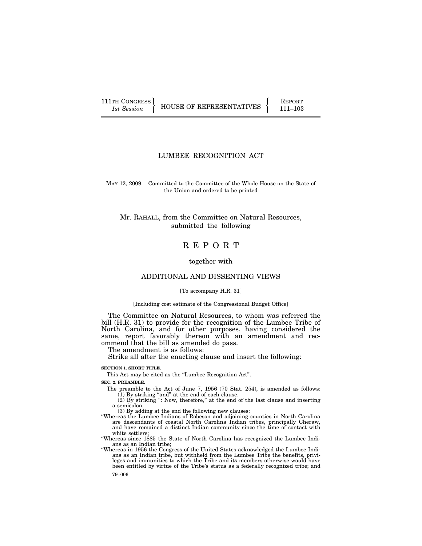111TH CONGRESS HOUSE OF REPRESENTATIVES FEPORT 111-103

# LUMBEE RECOGNITION ACT

MAY 12, 2009.—Committed to the Committee of the Whole House on the State of the Union and ordered to be printed

Mr. RAHALL, from the Committee on Natural Resources, submitted the following

# R E P O R T

together with

# ADDITIONAL AND DISSENTING VIEWS

## [To accompany H.R. 31]

#### [Including cost estimate of the Congressional Budget Office]

The Committee on Natural Resources, to whom was referred the bill (H.R. 31) to provide for the recognition of the Lumbee Tribe of North Carolina, and for other purposes, having considered the same, report favorably thereon with an amendment and recommend that the bill as amended do pass.

The amendment is as follows:

Strike all after the enacting clause and insert the following:

# **SECTION 1. SHORT TITLE.**

This Act may be cited as the ''Lumbee Recognition Act''.

# **SEC. 2. PREAMBLE.**

The preamble to the Act of June 7, 1956 (70 Stat. 254), is amended as follows: (1) By striking ''and'' at the end of each clause.

(2) By striking '': Now, therefore,'' at the end of the last clause and inserting a semicolon.

(3) By adding at the end the following new clauses:

''Whereas the Lumbee Indians of Robeson and adjoining counties in North Carolina are descendants of coastal North Carolina Indian tribes, principally Cheraw, and have remained a distinct Indian community since the time of contact with white settlers;

''Whereas since 1885 the State of North Carolina has recognized the Lumbee Indians as an Indian tribe;

79–006 ''Whereas in 1956 the Congress of the United States acknowledged the Lumbee Indians as an Indian tribe, but withheld from the Lumbee Tribe the benefits, privileges and immunities to which the Tribe and its members otherwise would have been entitled by virtue of the Tribe's status as a federally recognized tribe; and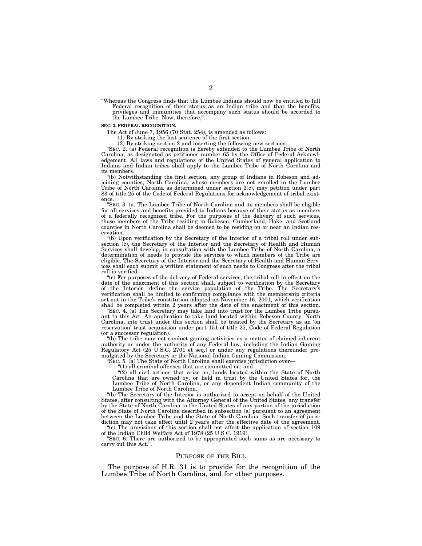''Whereas the Congress finds that the Lumbee Indians should now be entitled to full Federal recognition of their status as an Indian tribe and that the benefits, privileges and immunities that accompany such status should be accorded to the Lumbee Tribe: Now, therefore,''.

#### **SEC. 3. FEDERAL RECOGNITION.**

The Act of June 7, 1956 (70 Stat. 254), is amended as follows:

(1) By striking the last sentence of the first section.

(2) By striking section 2 and inserting the following new sections:

''SEC. 2. (a) Federal recognition is hereby extended to the Lumbee Tribe of North Carolina, as designated as petitioner number 65 by the Office of Federal Acknowledgement. All laws and regulations of the United States of general application to Indians and Indian tribes shall apply to the Lumbee Tribe of North Carolina and its members.

''(b) Notwithstanding the first section, any group of Indians in Robeson and adjoining counties, North Carolina, whose members are not enrolled in the Lumbee Tribe of North Carolina as determined under section 3(c), may petition under part 83 of title 25 of the Code of Federal Regulations for acknowledgement of tribal existence.

''SEC. 3. (a) The Lumbee Tribe of North Carolina and its members shall be eligible for all services and benefits provided to Indians because of their status as members of a federally recognized tribe. For the purposes of the delivery of such services, those members of the Tribe residing in Robeson, Cumberland, Hoke, and Scotland counties in North Carolina shall be deemed to be residing on or near an Indian reservation.

''(b) Upon verification by the Secretary of the Interior of a tribal roll under subsection (c), the Secretary of the Interior and the Secretary of Health and Human Services shall develop, in consultation with the Lumbee Tribe of North Carolina, a determination of needs to provide the services to which members of the Tribe are eligible. The Secretary of the Interior and the Secretary of Health and Human Services shall each submit a written statement of such needs to Congress after the tribal roll is verified.

"(c) For purposes of the delivery of Federal services, the tribal roll in effect on the date of the enactment of this section shall, subject to verification by the Secretary of the Interior, define the service population of the Tribe. The Secretary's verification shall be limited to confirming compliance with the membership criteria set out in the Tribe's constitution adopted on November 16, 2001, which verification shall be completed within 2 years after the date of the enactment of this section.

"SEC. 4. (a) The Secretary may take land into trust for the Lumbee Tribe pursuant to this Act. An application to take land located within Robeson County, North Carolina, into trust under this section shall be treated by the Secretary as an 'on reservation' trust acquisition under part 151 of title 25, Code of Federal Regulation (or a successor regulation).

''(b) The tribe may not conduct gaming activities as a matter of claimed inherent authority or under the authority of any Federal law, including the Indian Gaming Regulatory Act (25 U.S.C. 2701 et seq.) or under any regulations thereunder promulgated by the Secretary or the National Indian Gaming Commission.

"SEC. 5. (a) The State of North Carolina shall exercise jurisdiction over-

''(1) all criminal offenses that are committed on; and

 $''(2)$  all civil actions that arise on, lands located within the State of North Carolina that are owned by, or held in trust by the United States for, the Lumbee Tribe of North Carolina, or any dependent Indian community of the Lumbee Tribe of North Carolina.

''(b) The Secretary of the Interior is authorized to accept on behalf of the United States, after consulting with the Attorney General of the United States, any transfer by the State of North Carolina to the United States of any portion of the jurisdiction of the State of North Carolina described in subsection (a) pursuant to an agreement between the Lumbee Tribe and the State of North Carolina. Such transfer of jurisdiction may not take effect until 2 years after the effective date of the agreement.

''(c) The provisions of this section shall not affect the application of section 109 of the Indian Child Welfare Act of 1978 (25 U.S.C. 1919).

''SEC. 6. There are authorized to be appropriated such sums as are necessary to carry out this Act.''.

#### PURPOSE OF THE BILL

The purpose of H.R. 31 is to provide for the recognition of the Lumbee Tribe of North Carolina, and for other purposes.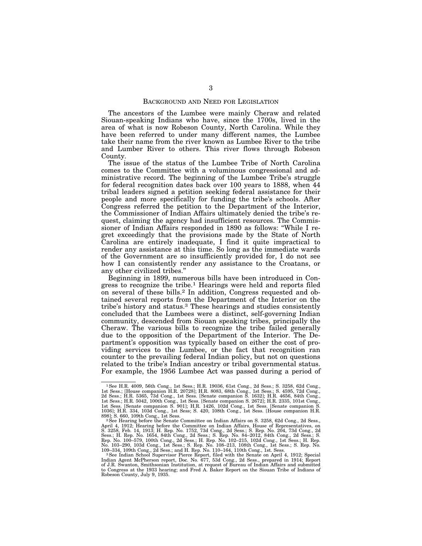### BACKGROUND AND NEED FOR LEGISLATION

The ancestors of the Lumbee were mainly Cheraw and related Siouan-speaking Indians who have, since the 1700s, lived in the area of what is now Robeson County, North Carolina. While they have been referred to under many different names, the Lumbee take their name from the river known as Lumbee River to the tribe and Lumber River to others. This river flows through Robeson County.

The issue of the status of the Lumbee Tribe of North Carolina comes to the Committee with a voluminous congressional and administrative record. The beginning of the Lumbee Tribe's struggle for federal recognition dates back over 100 years to 1888, when 44 tribal leaders signed a petition seeking federal assistance for their people and more specifically for funding the tribe's schools. After Congress referred the petition to the Department of the Interior, the Commissioner of Indian Affairs ultimately denied the tribe's request, claiming the agency had insufficient resources. The Commissioner of Indian Affairs responded in 1890 as follows: ''While I regret exceedingly that the provisions made by the State of North Carolina are entirely inadequate, I find it quite impractical to render any assistance at this time. So long as the immediate wards of the Government are so insufficiently provided for, I do not see how I can consistently render any assistance to the Croatans, or any other civilized tribes.''

Beginning in 1899, numerous bills have been introduced in Congress to recognize the tribe.1 Hearings were held and reports filed on several of these bills.2 In addition, Congress requested and obtained several reports from the Department of the Interior on the tribe's history and status.3 These hearings and studies consistently concluded that the Lumbees were a distinct, self-governing Indian community, descended from Siouan speaking tribes, principally the Cheraw. The various bills to recognize the tribe failed generally due to the opposition of the Department of the Interior. The Department's opposition was typically based on either the cost of providing services to the Lumbee, or the fact that recognition ran counter to the prevailing federal Indian policy, but not on questions related to the tribe's Indian ancestry or tribal governmental status. For example, the 1956 Lumbee Act was passed during a period of

<sup>&</sup>lt;sup>1</sup> See H.R. 4009, 56th Cong., 1st Sess.; H.R. 19036, 61st Cong., 2d Sess.; S. 3258, 62d Cong., 1st Sess.; [House companion H.R. 20728]; H.R. 8083, 68th Cong., 1st Sess.; S. 4595, 72d Cong., 2d Sess.; H.R. 5565, 73d Cong. 898]; S. 660, 109th Cong., 1st Sess. 2See Hearing before the Senate Committee on Indian Affairs on S. 3258, 62d Cong., 2d Sess.,

April 4, 1912; Hearing before the Committee on Indian Affairs, House of Representatives, on S. 3258, Feb. 14, 1913; H. Rep. No. 1654, 73d Cong., 2d Sess.; S. Rep. No. 204, 73d Cong., 2d Sess.; S. Rep. No. 103–201, P. No. 1

Indian Agent McPherson report, Doc. No. 677, 53d Cong., 2d Sess., prepared in 1914; Report of J.R. Swanton, Smithsonian Institution, at request of Bureau of Indian Affairs and submitted to Congress at the 1933 hearing; and Fred A. Baker Report on the Siouan Tribe of Indians of Robeson County, July 9, 1935.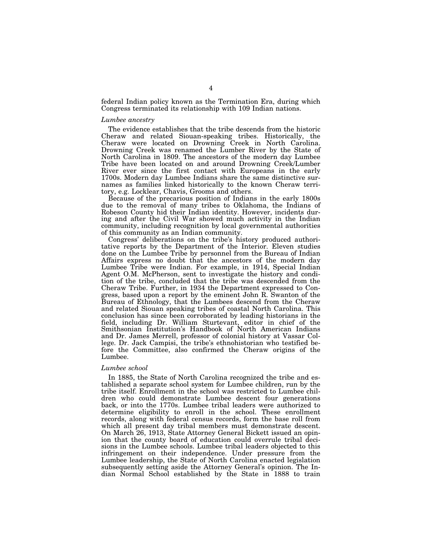federal Indian policy known as the Termination Era, during which Congress terminated its relationship with 109 Indian nations.

### *Lumbee ancestry*

The evidence establishes that the tribe descends from the historic Cheraw and related Siouan-speaking tribes. Historically, the Cheraw were located on Drowning Creek in North Carolina. Drowning Creek was renamed the Lumber River by the State of North Carolina in 1809. The ancestors of the modern day Lumbee Tribe have been located on and around Drowning Creek/Lumber River ever since the first contact with Europeans in the early 1700s. Modern day Lumbee Indians share the same distinctive surnames as families linked historically to the known Cheraw territory, e.g. Locklear, Chavis, Grooms and others.

Because of the precarious position of Indians in the early 1800s due to the removal of many tribes to Oklahoma, the Indians of Robeson County hid their Indian identity. However, incidents during and after the Civil War showed much activity in the Indian community, including recognition by local governmental authorities of this community as an Indian community.

Congress' deliberations on the tribe's history produced authoritative reports by the Department of the Interior. Eleven studies done on the Lumbee Tribe by personnel from the Bureau of Indian Affairs express no doubt that the ancestors of the modern day Lumbee Tribe were Indian. For example, in 1914, Special Indian Agent O.M. McPherson, sent to investigate the history and condition of the tribe, concluded that the tribe was descended from the Cheraw Tribe. Further, in 1934 the Department expressed to Congress, based upon a report by the eminent John R. Swanton of the Bureau of Ethnology, that the Lumbees descend from the Cheraw and related Siouan speaking tribes of coastal North Carolina. This conclusion has since been corroborated by leading historians in the field, including Dr. William Sturtevant, editor in chief of the Smithsonian Institution's Handbook of North American Indians and Dr. James Merrell, professor of colonial history at Vassar College. Dr. Jack Campisi, the tribe's ethnohistorian who testified before the Committee, also confirmed the Cheraw origins of the Lumbee.

### *Lumbee school*

In 1885, the State of North Carolina recognized the tribe and established a separate school system for Lumbee children, run by the tribe itself. Enrollment in the school was restricted to Lumbee children who could demonstrate Lumbee descent four generations back, or into the 1770s. Lumbee tribal leaders were authorized to determine eligibility to enroll in the school. These enrollment records, along with federal census records, form the base roll from which all present day tribal members must demonstrate descent. On March 26, 1913, State Attorney General Bickett issued an opinion that the county board of education could overrule tribal decisions in the Lumbee schools. Lumbee tribal leaders objected to this infringement on their independence. Under pressure from the Lumbee leadership, the State of North Carolina enacted legislation subsequently setting aside the Attorney General's opinion. The Indian Normal School established by the State in 1888 to train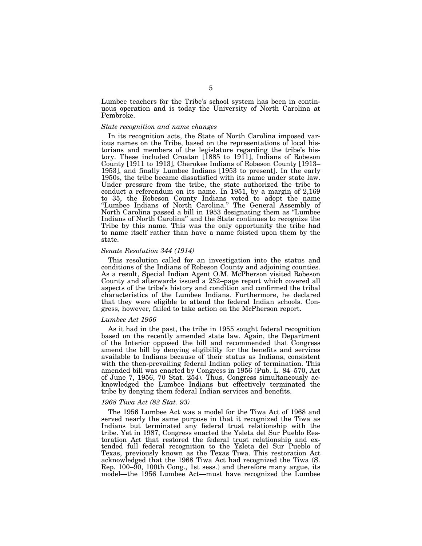Lumbee teachers for the Tribe's school system has been in continuous operation and is today the University of North Carolina at Pembroke.

### *State recognition and name changes*

In its recognition acts, the State of North Carolina imposed various names on the Tribe, based on the representations of local historians and members of the legislature regarding the tribe's history. These included Croatan [1885 to 1911], Indians of Robeson County [1911 to 1913], Cherokee Indians of Robeson County [1913– 1953], and finally Lumbee Indians [1953 to present]. In the early 1950s, the tribe became dissatisfied with its name under state law. Under pressure from the tribe, the state authorized the tribe to conduct a referendum on its name. In 1951, by a margin of 2,169 to 35, the Robeson County Indians voted to adopt the name "Lumbee Indians of North Carolina." The General Assembly of North Carolina passed a bill in 1953 designating them as ''Lumbee Indians of North Carolina'' and the State continues to recognize the Tribe by this name. This was the only opportunity the tribe had to name itself rather than have a name foisted upon them by the state.

#### *Senate Resolution 344 (1914)*

This resolution called for an investigation into the status and conditions of the Indians of Robeson County and adjoining counties. As a result, Special Indian Agent O.M. McPherson visited Robeson County and afterwards issued a 252–page report which covered all aspects of the tribe's history and condition and confirmed the tribal characteristics of the Lumbee Indians. Furthermore, he declared that they were eligible to attend the federal Indian schools. Congress, however, failed to take action on the McPherson report.

#### *Lumbee Act 1956*

As it had in the past, the tribe in 1955 sought federal recognition based on the recently amended state law. Again, the Department of the Interior opposed the bill and recommended that Congress amend the bill by denying eligibility for the benefits and services available to Indians because of their status as Indians, consistent with the then-prevailing federal Indian policy of termination. This amended bill was enacted by Congress in 1956 (Pub. L. 84–570, Act of June 7, 1956, 70 Stat. 254). Thus, Congress simultaneously acknowledged the Lumbee Indians but effectively terminated the tribe by denying them federal Indian services and benefits.

### *1968 Tiwa Act (82 Stat. 93)*

The 1956 Lumbee Act was a model for the Tiwa Act of 1968 and served nearly the same purpose in that it recognized the Tiwa as Indians but terminated any federal trust relationship with the tribe. Yet in 1987, Congress enacted the Ysleta del Sur Pueblo Restoration Act that restored the federal trust relationship and extended full federal recognition to the Ysleta del Sur Pueblo of Texas, previously known as the Texas Tiwa. This restoration Act acknowledged that the 1968 Tiwa Act had recognized the Tiwa (S. Rep. 100–90, 100th Cong., 1st sess.) and therefore many argue, its model—the 1956 Lumbee Act—must have recognized the Lumbee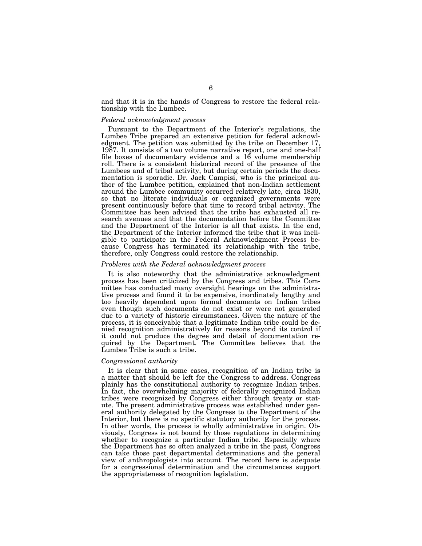and that it is in the hands of Congress to restore the federal relationship with the Lumbee.

### *Federal acknowledgment process*

Pursuant to the Department of the Interior's regulations, the Lumbee Tribe prepared an extensive petition for federal acknowledgment. The petition was submitted by the tribe on December 17, 1987. It consists of a two volume narrative report, one and one-half file boxes of documentary evidence and a 16 volume membership roll. There is a consistent historical record of the presence of the Lumbees and of tribal activity, but during certain periods the documentation is sporadic. Dr. Jack Campisi, who is the principal author of the Lumbee petition, explained that non-Indian settlement around the Lumbee community occurred relatively late, circa 1830, so that no literate individuals or organized governments were present continuously before that time to record tribal activity. The Committee has been advised that the tribe has exhausted all research avenues and that the documentation before the Committee and the Department of the Interior is all that exists. In the end, the Department of the Interior informed the tribe that it was ineligible to participate in the Federal Acknowledgment Process because Congress has terminated its relationship with the tribe, therefore, only Congress could restore the relationship.

# *Problems with the Federal acknowledgment process*

It is also noteworthy that the administrative acknowledgment process has been criticized by the Congress and tribes. This Committee has conducted many oversight hearings on the administrative process and found it to be expensive, inordinately lengthy and too heavily dependent upon formal documents on Indian tribes even though such documents do not exist or were not generated due to a variety of historic circumstances. Given the nature of the process, it is conceivable that a legitimate Indian tribe could be denied recognition administratively for reasons beyond its control if it could not produce the degree and detail of documentation required by the Department. The Committee believes that the Lumbee Tribe is such a tribe.

### *Congressional authority*

It is clear that in some cases, recognition of an Indian tribe is a matter that should be left for the Congress to address. Congress plainly has the constitutional authority to recognize Indian tribes. In fact, the overwhelming majority of federally recognized Indian tribes were recognized by Congress either through treaty or statute. The present administrative process was established under general authority delegated by the Congress to the Department of the Interior, but there is no specific statutory authority for the process. In other words, the process is wholly administrative in origin. Obviously, Congress is not bound by those regulations in determining whether to recognize a particular Indian tribe. Especially where the Department has so often analyzed a tribe in the past, Congress can take those past departmental determinations and the general view of anthropologists into account. The record here is adequate for a congressional determination and the circumstances support the appropriateness of recognition legislation.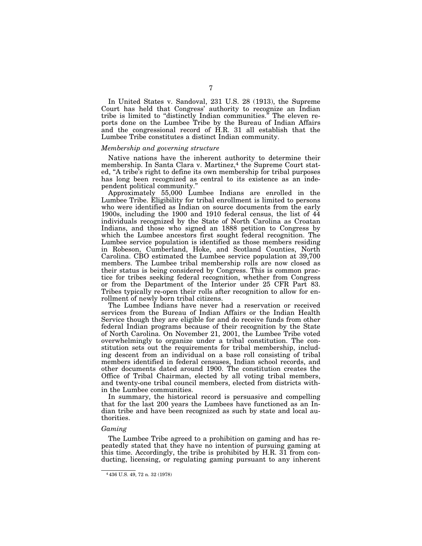In United States v. Sandoval, 231 U.S. 28 (1913), the Supreme Court has held that Congress' authority to recognize an Indian tribe is limited to ''distinctly Indian communities.'' The eleven reports done on the Lumbee Tribe by the Bureau of Indian Affairs and the congressional record of H.R. 31 all establish that the Lumbee Tribe constitutes a distinct Indian community.

#### *Membership and governing structure*

Native nations have the inherent authority to determine their membership. In Santa Clara v. Martinez,<sup>4</sup> the Supreme Court stated, ''A tribe's right to define its own membership for tribal purposes has long been recognized as central to its existence as an independent political community.''

Approximately 55,000 Lumbee Indians are enrolled in the Lumbee Tribe. Eligibility for tribal enrollment is limited to persons who were identified as Indian on source documents from the early 1900s, including the 1900 and 1910 federal census, the list of 44 individuals recognized by the State of North Carolina as Croatan Indians, and those who signed an 1888 petition to Congress by which the Lumbee ancestors first sought federal recognition. The Lumbee service population is identified as those members residing in Robeson, Cumberland, Hoke, and Scotland Counties, North Carolina. CBO estimated the Lumbee service population at 39,700 members. The Lumbee tribal membership rolls are now closed as their status is being considered by Congress. This is common practice for tribes seeking federal recognition, whether from Congress or from the Department of the Interior under 25 CFR Part 83. Tribes typically re-open their rolls after recognition to allow for enrollment of newly born tribal citizens.

The Lumbee Indians have never had a reservation or received services from the Bureau of Indian Affairs or the Indian Health Service though they are eligible for and do receive funds from other federal Indian programs because of their recognition by the State of North Carolina. On November 21, 2001, the Lumbee Tribe voted overwhelmingly to organize under a tribal constitution. The constitution sets out the requirements for tribal membership, including descent from an individual on a base roll consisting of tribal members identified in federal censuses, Indian school records, and other documents dated around 1900. The constitution creates the Office of Tribal Chairman, elected by all voting tribal members, and twenty-one tribal council members, elected from districts within the Lumbee communities.

In summary, the historical record is persuasive and compelling that for the last 200 years the Lumbees have functioned as an Indian tribe and have been recognized as such by state and local authorities.

#### *Gaming*

The Lumbee Tribe agreed to a prohibition on gaming and has repeatedly stated that they have no intention of pursuing gaming at this time. Accordingly, the tribe is prohibited by H.R. 31 from conducting, licensing, or regulating gaming pursuant to any inherent

<sup>4</sup> 436 U.S. 49, 72 n. 32 (1978)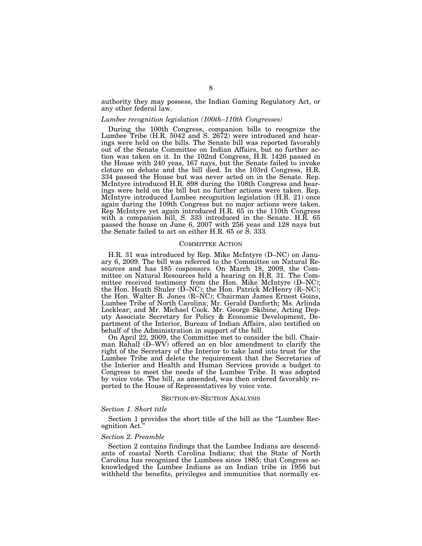authority they may possess, the Indian Gaming Regulatory Act, or any other federal law.

#### *Lumbee recognition legislation (100th–110th Congresses)*

During the 100th Congress, companion bills to recognize the Lumbee Tribe (H.R. 5042 and S. 2672) were introduced and hearings were held on the bills. The Senate bill was reported favorably out of the Senate Committee on Indian Affairs, but no further action was taken on it. In the 102nd Congress, H.R. 1426 passed in the House with 240 yeas, 167 nays, but the Senate failed to invoke cloture on debate and the bill died. In the 103rd Congress, H.R. 334 passed the House but was never acted on in the Senate. Rep. McIntyre introduced H.R. 898 during the 108th Congress and hearings were held on the bill but no further actions were taken. Rep. McIntyre introduced Lumbee recognition legislation (H.R. 21) once again during the 109th Congress but no major actions were taken. Rep McIntyre yet again introduced H.R. 65 in the 110th Congress with a companion bill, S. 333 introduced in the Senate. H.R. 65 passed the house on June 6, 2007 with 256 yeas and 128 nays but the Senate failed to act on either H.R. 65 or S. 333.

### COMMITTEE ACTION

H.R. 31 was introduced by Rep. Mike McIntyre (D–NC) on January 6, 2009. The bill was referred to the Committee on Natural Resources and has 185 cosponsors. On March 18, 2009, the Committee on Natural Resources held a hearing on H.R. 31. The Committee received testimony from the Hon. Mike McIntyre (D–NC); the Hon. Heath Shuler (D–NC); the Hon. Patrick McHenry (R–NC); the Hon. Walter B. Jones (R–NC); Chairman James Ernest Goins, Lumbee Tribe of North Carolina; Mr. Gerald Danforth; Ms. Arlinda Locklear; and Mr. Michael Cook. Mr. George Skibine, Acting Deputy Associate Secretary for Policy & Economic Development, Department of the Interior, Bureau of Indian Affairs, also testified on behalf of the Administration in support of the bill.

On April 22, 2009, the Committee met to consider the bill. Chairman Rahall (D–WV) offered an en bloc amendment to clarify the right of the Secretary of the Interior to take land into trust for the Lumbee Tribe and delete the requirement that the Secretaries of the Interior and Health and Human Services provide a budget to Congress to meet the needs of the Lumbee Tribe. It was adopted by voice vote. The bill, as amended, was then ordered favorably reported to the House of Representatives by voice vote.

### SECTION-BY-SECTION ANALYSIS

### *Section 1. Short title*

Section 1 provides the short title of the bill as the ''Lumbee Recognition Act.''

### *Section 2. Preamble*

Section 2 contains findings that the Lumbee Indians are descendants of coastal North Carolina Indians; that the State of North Carolina has recognized the Lumbees since 1885; that Congress acknowledged the Lumbee Indians as an Indian tribe in 1956 but withheld the benefits, privileges and immunities that normally ex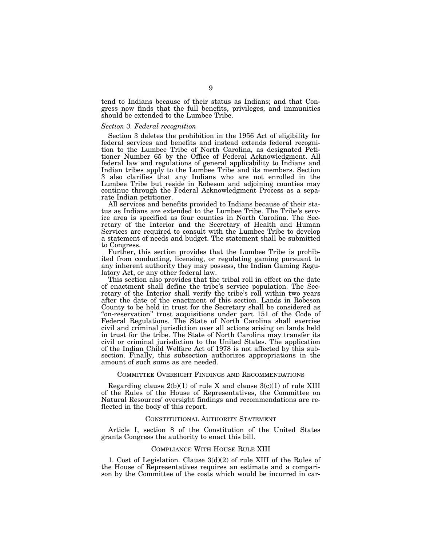tend to Indians because of their status as Indians; and that Congress now finds that the full benefits, privileges, and immunities should be extended to the Lumbee Tribe.

#### *Section 3. Federal recognition*

Section 3 deletes the prohibition in the 1956 Act of eligibility for federal services and benefits and instead extends federal recognition to the Lumbee Tribe of North Carolina, as designated Petitioner Number 65 by the Office of Federal Acknowledgment. All federal law and regulations of general applicability to Indians and Indian tribes apply to the Lumbee Tribe and its members. Section 3 also clarifies that any Indians who are not enrolled in the Lumbee Tribe but reside in Robeson and adjoining counties may continue through the Federal Acknowledgment Process as a separate Indian petitioner.

All services and benefits provided to Indians because of their status as Indians are extended to the Lumbee Tribe. The Tribe's service area is specified as four counties in North Carolina. The Secretary of the Interior and the Secretary of Health and Human Services are required to consult with the Lumbee Tribe to develop a statement of needs and budget. The statement shall be submitted to Congress.

Further, this section provides that the Lumbee Tribe is prohibited from conducting, licensing, or regulating gaming pursuant to any inherent authority they may possess, the Indian Gaming Regulatory Act, or any other federal law.

This section also provides that the tribal roll in effect on the date of enactment shall define the tribe's service population. The Secretary of the Interior shall verify the tribe's roll within two years after the date of the enactment of this section. Lands in Robeson County to be held in trust for the Secretary shall be considered as ''on-reservation'' trust acquisitions under part 151 of the Code of Federal Regulations. The State of North Carolina shall exercise civil and criminal jurisdiction over all actions arising on lands held in trust for the tribe. The State of North Carolina may transfer its civil or criminal jurisdiction to the United States. The application of the Indian Child Welfare Act of 1978 is not affected by this subsection. Finally, this subsection authorizes appropriations in the amount of such sums as are needed.

### COMMITTEE OVERSIGHT FINDINGS AND RECOMMENDATIONS

Regarding clause  $2(b)(1)$  of rule X and clause  $3(c)(1)$  of rule XIII of the Rules of the House of Representatives, the Committee on Natural Resources' oversight findings and recommendations are reflected in the body of this report.

# CONSTITUTIONAL AUTHORITY STATEMENT

Article I, section 8 of the Constitution of the United States grants Congress the authority to enact this bill.

### COMPLIANCE WITH HOUSE RULE XIII

1. Cost of Legislation. Clause 3(d)(2) of rule XIII of the Rules of the House of Representatives requires an estimate and a comparison by the Committee of the costs which would be incurred in car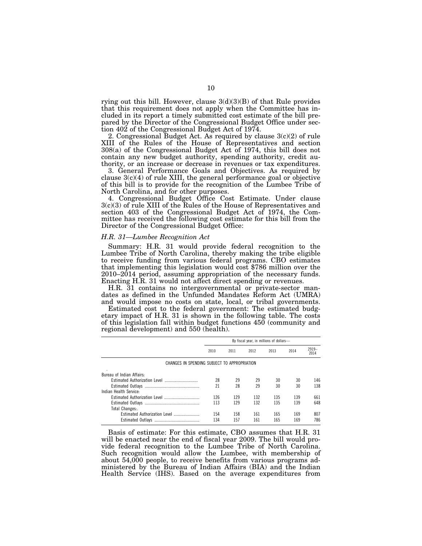rying out this bill. However, clause  $3(d)(3)(B)$  of that Rule provides that this requirement does not apply when the Committee has included in its report a timely submitted cost estimate of the bill prepared by the Director of the Congressional Budget Office under section 402 of the Congressional Budget Act of 1974.

2. Congressional Budget Act. As required by clause 3(c)(2) of rule XIII of the Rules of the House of Representatives and section 308(a) of the Congressional Budget Act of 1974, this bill does not contain any new budget authority, spending authority, credit authority, or an increase or decrease in revenues or tax expenditures.

3. General Performance Goals and Objectives. As required by clause  $3(c)(4)$  of rule XIII, the general performance goal or objective of this bill is to provide for the recognition of the Lumbee Tribe of North Carolina, and for other purposes.

4. Congressional Budget Office Cost Estimate. Under clause 3(c)(3) of rule XIII of the Rules of the House of Representatives and section 403 of the Congressional Budget Act of 1974, the Committee has received the following cost estimate for this bill from the Director of the Congressional Budget Office:

### *H.R. 31—Lumbee Recognition Act*

Summary: H.R. 31 would provide federal recognition to the Lumbee Tribe of North Carolina, thereby making the tribe eligible to receive funding from various federal programs. CBO estimates that implementing this legislation would cost \$786 million over the 2010–2014 period, assuming appropriation of the necessary funds. Enacting H.R. 31 would not affect direct spending or revenues.

H.R. 31 contains no intergovernmental or private-sector mandates as defined in the Unfunded Mandates Reform Act (UMRA) and would impose no costs on state, local, or tribal governments.

Estimated cost to the federal government: The estimated budgetary impact of H.R. 31 is shown in the following table. The costs of this legislation fall within budget functions  $450$  (community and regional development) and 550 (health).

|                                              | By fiscal year, in millions of dollars- |      |      |      |      |                 |
|----------------------------------------------|-----------------------------------------|------|------|------|------|-----------------|
|                                              | 2010                                    | 2011 | 2012 | 2013 | 2014 | $2919-$<br>2014 |
| CHANGES IN SPENDING SUBJECT TO APPROPRIATION |                                         |      |      |      |      |                 |
| Bureau of Indian Affairs.                    |                                         |      |      |      |      |                 |
|                                              | 28                                      | 29   | 29   | 30   | 30   | 146             |
|                                              | 21                                      | 28   | 29   | 30   | 30   | 138             |
| Indian Health Service:                       |                                         |      |      |      |      |                 |
|                                              | 126                                     | 129  | 132  | 135  | 139  | 661             |
|                                              | 113                                     | 129  | 132  | 135  | 139  | 648             |
| Total Changes:.                              |                                         |      |      |      |      |                 |
| Estimated Authorization Level                | 154                                     | 158  | 161  | 165  | 169  | 807             |
|                                              | 134                                     | 157  | 161  | 165  | 169  | 786             |

Basis of estimate: For this estimate, CBO assumes that H.R. 31 will be enacted near the end of fiscal year 2009. The bill would provide federal recognition to the Lumbee Tribe of North Carolina. Such recognition would allow the Lumbee, with membership of about 54,000 people, to receive benefits from various programs administered by the Bureau of Indian Affairs (BIA) and the Indian Health Service (IHS). Based on the average expenditures from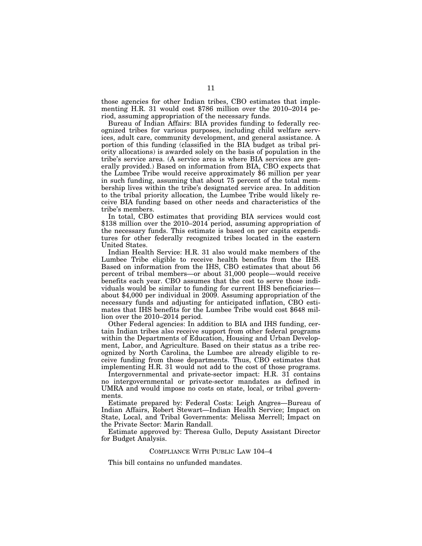those agencies for other Indian tribes, CBO estimates that implementing H.R. 31 would cost \$786 million over the 2010–2014 period, assuming appropriation of the necessary funds.

Bureau of Indian Affairs: BIA provides funding to federally recognized tribes for various purposes, including child welfare services, adult care, community development, and general assistance. A portion of this funding (classified in the BIA budget as tribal priority allocations) is awarded solely on the basis of population in the tribe's service area. (A service area is where BIA services are generally provided.) Based on information from BIA, CBO expects that the Lumbee Tribe would receive approximately \$6 million per year in such funding, assuming that about 75 percent of the total membership lives within the tribe's designated service area. In addition to the tribal priority allocation, the Lumbee Tribe would likely receive BIA funding based on other needs and characteristics of the tribe's members.

In total, CBO estimates that providing BIA services would cost \$138 million over the 2010–2014 period, assuming appropriation of the necessary funds. This estimate is based on per capita expenditures for other federally recognized tribes located in the eastern United States.

Indian Health Service: H.R. 31 also would make members of the Lumbee Tribe eligible to receive health benefits from the IHS. Based on information from the IHS, CBO estimates that about 56 percent of tribal members—or about 31,000 people—would receive benefits each year. CBO assumes that the cost to serve those individuals would be similar to funding for current IHS beneficiaries about \$4,000 per individual in 2009. Assuming appropriation of the necessary funds and adjusting for anticipated inflation, CBO estimates that IHS benefits for the Lumbee Tribe would cost \$648 million over the 2010–2014 period.

Other Federal agencies: In addition to BIA and IHS funding, certain Indian tribes also receive support from other federal programs within the Departments of Education, Housing and Urban Development, Labor, and Agriculture. Based on their status as a tribe recognized by North Carolina, the Lumbee are already eligible to receive funding from those departments. Thus, CBO estimates that implementing H.R. 31 would not add to the cost of those programs.

Intergovernmental and private-sector impact: H.R. 31 contains no intergovernmental or private-sector mandates as defined in UMRA and would impose no costs on state, local, or tribal governments.

Estimate prepared by: Federal Costs: Leigh Angres—Bureau of Indian Affairs, Robert Stewart—Indian Health Service; Impact on State, Local, and Tribal Governments: Melissa Merrell; Impact on the Private Sector: Marin Randall.

Estimate approved by: Theresa Gullo, Deputy Assistant Director for Budget Analysis.

# COMPLIANCE WITH PUBLIC LAW 104–4

This bill contains no unfunded mandates.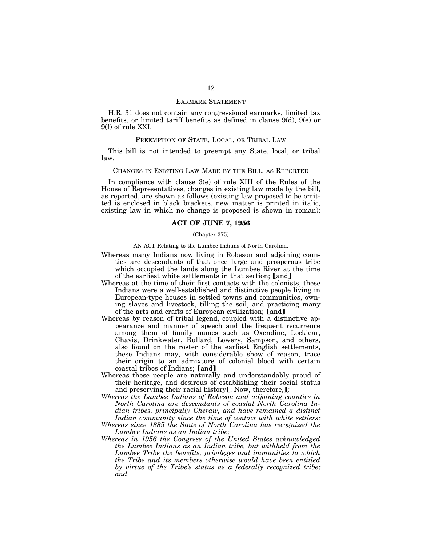### EARMARK STATEMENT

H.R. 31 does not contain any congressional earmarks, limited tax benefits, or limited tariff benefits as defined in clause 9(d), 9(e) or 9(f) of rule XXI.

### PREEMPTION OF STATE, LOCAL, OR TRIBAL LAW

This bill is not intended to preempt any State, local, or tribal law.

### CHANGES IN EXISTING LAW MADE BY THE BILL, AS REPORTED

In compliance with clause 3(e) of rule XIII of the Rules of the House of Representatives, changes in existing law made by the bill, as reported, are shown as follows (existing law proposed to be omitted is enclosed in black brackets, new matter is printed in italic, existing law in which no change is proposed is shown in roman):

### **ACT OF JUNE 7, 1956**

#### (Chapter 375)

AN ACT Relating to the Lumbee Indians of North Carolina.

- Whereas many Indians now living in Robeson and adjoining counties are descendants of that once large and prosperous tribe which occupied the lands along the Lumbee River at the time of the earliest white settlements in that section; [and]
- Whereas at the time of their first contacts with the colonists, these Indians were a well-established and distinctive people living in European-type houses in settled towns and communities, owning slaves and livestock, tilling the soil, and practicing many of the arts and crafts of European civilization;  $\lceil \text{and} \rceil$
- Whereas by reason of tribal legend, coupled with a distinctive appearance and manner of speech and the frequent recurrence among them of family names such as Oxendine, Locklear, Chavis, Drinkwater, Bullard, Lowery, Sampson, and others, also found on the roster of the earliest English settlements, these Indians may, with considerable show of reason, trace their origin to an admixture of colonial blood with certain coastal tribes of Indians; [and]
- Whereas these people are naturally and understandably proud of their heritage, and desirous of establishing their social status and preserving their racial history[: Now, therefore,];
- *Whereas the Lumbee Indians of Robeson and adjoining counties in North Carolina are descendants of coastal North Carolina Indian tribes, principally Cheraw, and have remained a distinct Indian community since the time of contact with white settlers;*
- *Whereas since 1885 the State of North Carolina has recognized the Lumbee Indians as an Indian tribe;*
- *Whereas in 1956 the Congress of the United States acknowledged the Lumbee Indians as an Indian tribe, but withheld from the Lumbee Tribe the benefits, privileges and immunities to which the Tribe and its members otherwise would have been entitled by virtue of the Tribe's status as a federally recognized tribe; and*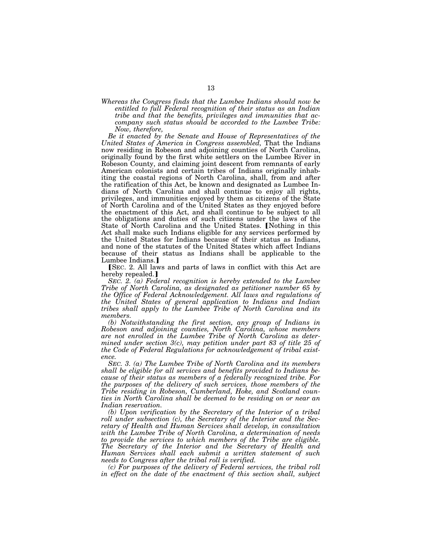*Whereas the Congress finds that the Lumbee Indians should now be entitled to full Federal recognition of their status as an Indian tribe and that the benefits, privileges and immunities that accompany such status should be accorded to the Lumbee Tribe: Now, therefore,* 

*Be it enacted by the Senate and House of Representatives of the United States of America in Congress assembled,* That the Indians now residing in Robeson and adjoining counties of North Carolina, originally found by the first white settlers on the Lumbee River in Robeson County, and claiming joint descent from remnants of early American colonists and certain tribes of Indians originally inhabiting the coastal regions of North Carolina, shall, from and after the ratification of this Act, be known and designated as Lumbee Indians of North Carolina and shall continue to enjoy all rights, privileges, and immunities enjoyed by them as citizens of the State of North Carolina and of the United States as they enjoyed before the enactment of this Act, and shall continue to be subject to all the obligations and duties of such citizens under the laws of the State of North Carolina and the United States. [Nothing in this Act shall make such Indians eligible for any services performed by the United States for Indians because of their status as Indians, and none of the statutes of the United States which affect Indians because of their status as Indians shall be applicable to the Lumbee Indians.]

**SEC.** 2. All laws and parts of laws in conflict with this Act are hereby repealed.

*SEC. 2. (a) Federal recognition is hereby extended to the Lumbee Tribe of North Carolina, as designated as petitioner number 65 by the Office of Federal Acknowledgement. All laws and regulations of the United States of general application to Indians and Indian tribes shall apply to the Lumbee Tribe of North Carolina and its members.* 

*(b) Notwithstanding the first section, any group of Indians in Robeson and adjoining counties, North Carolina, whose members are not enrolled in the Lumbee Tribe of North Carolina as deter*mined under section 3(c), may petition under part 83 of title 25 of *the Code of Federal Regulations for acknowledgement of tribal existence.* 

*SEC. 3. (a) The Lumbee Tribe of North Carolina and its members shall be eligible for all services and benefits provided to Indians because of their status as members of a federally recognized tribe. For the purposes of the delivery of such services, those members of the Tribe residing in Robeson, Cumberland, Hoke, and Scotland counties in North Carolina shall be deemed to be residing on or near an Indian reservation.* 

*(b) Upon verification by the Secretary of the Interior of a tribal roll under subsection (c), the Secretary of the Interior and the Secretary of Health and Human Services shall develop, in consultation with the Lumbee Tribe of North Carolina, a determination of needs to provide the services to which members of the Tribe are eligible. The Secretary of the Interior and the Secretary of Health and Human Services shall each submit a written statement of such needs to Congress after the tribal roll is verified.* 

*(c) For purposes of the delivery of Federal services, the tribal roll in effect on the date of the enactment of this section shall, subject*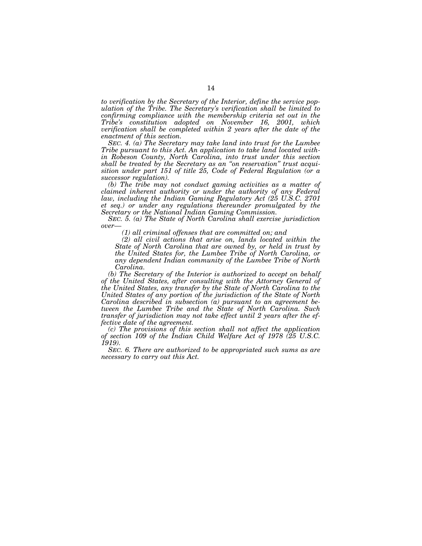*to verification by the Secretary of the Interior, define the service population of the Tribe. The Secretary's verification shall be limited to confirming compliance with the membership criteria set out in the Tribe's constitution adopted on November 16, 2001, which verification shall be completed within 2 years after the date of the enactment of this section.* 

*SEC. 4. (a) The Secretary may take land into trust for the Lumbee Tribe pursuant to this Act. An application to take land located within Robeson County, North Carolina, into trust under this section shall be treated by the Secretary as an ''on reservation'' trust acquisition under part 151 of title 25, Code of Federal Regulation (or a successor regulation).* 

*(b) The tribe may not conduct gaming activities as a matter of claimed inherent authority or under the authority of any Federal law, including the Indian Gaming Regulatory Act (25 U.S.C. 2701 et seq.) or under any regulations thereunder promulgated by the Secretary or the National Indian Gaming Commission.* 

*SEC. 5. (a) The State of North Carolina shall exercise jurisdiction over—* 

*(1) all criminal offenses that are committed on; and* 

*(2) all civil actions that arise on, lands located within the State of North Carolina that are owned by, or held in trust by the United States for, the Lumbee Tribe of North Carolina, or any dependent Indian community of the Lumbee Tribe of North Carolina.* 

*(b) The Secretary of the Interior is authorized to accept on behalf of the United States, after consulting with the Attorney General of the United States, any transfer by the State of North Carolina to the United States of any portion of the jurisdiction of the State of North Carolina described in subsection (a) pursuant to an agreement between the Lumbee Tribe and the State of North Carolina. Such transfer of jurisdiction may not take effect until 2 years after the effective date of the agreement.* 

*(c) The provisions of this section shall not affect the application of section 109 of the Indian Child Welfare Act of 1978 (25 U.S.C. 1919).* 

*SEC. 6. There are authorized to be appropriated such sums as are necessary to carry out this Act.*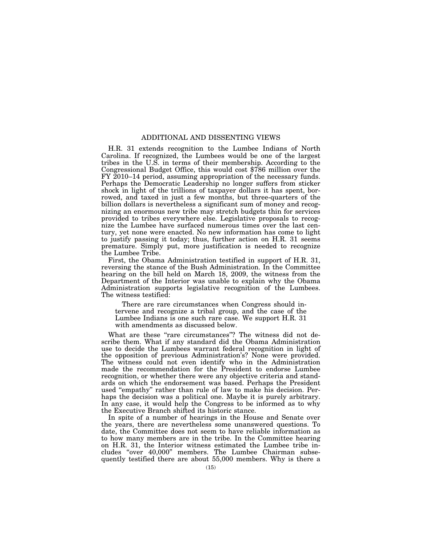### ADDITIONAL AND DISSENTING VIEWS

H.R. 31 extends recognition to the Lumbee Indians of North Carolina. If recognized, the Lumbees would be one of the largest tribes in the U.S. in terms of their membership. According to the Congressional Budget Office, this would cost \$786 million over the FY 2010–14 period, assuming appropriation of the necessary funds. Perhaps the Democratic Leadership no longer suffers from sticker shock in light of the trillions of taxpayer dollars it has spent, borrowed, and taxed in just a few months, but three-quarters of the billion dollars is nevertheless a significant sum of money and recognizing an enormous new tribe may stretch budgets thin for services provided to tribes everywhere else. Legislative proposals to recognize the Lumbee have surfaced numerous times over the last century, yet none were enacted. No new information has come to light to justify passing it today; thus, further action on H.R. 31 seems premature. Simply put, more justification is needed to recognize the Lumbee Tribe.

First, the Obama Administration testified in support of H.R. 31, reversing the stance of the Bush Administration. In the Committee hearing on the bill held on March 18, 2009, the witness from the Department of the Interior was unable to explain why the Obama Administration supports legislative recognition of the Lumbees. The witness testified:

There are rare circumstances when Congress should intervene and recognize a tribal group, and the case of the Lumbee Indians is one such rare case. We support H.R. 31 with amendments as discussed below.

What are these "rare circumstances"? The witness did not describe them. What if any standard did the Obama Administration use to decide the Lumbees warrant federal recognition in light of the opposition of previous Administration's? None were provided. The witness could not even identify who in the Administration made the recommendation for the President to endorse Lumbee recognition, or whether there were any objective criteria and standards on which the endorsement was based. Perhaps the President used ''empathy'' rather than rule of law to make his decision. Perhaps the decision was a political one. Maybe it is purely arbitrary. In any case, it would help the Congress to be informed as to why the Executive Branch shifted its historic stance.

In spite of a number of hearings in the House and Senate over the years, there are nevertheless some unanswered questions. To date, the Committee does not seem to have reliable information as to how many members are in the tribe. In the Committee hearing on H.R. 31, the Interior witness estimated the Lumbee tribe includes ''over 40,000'' members. The Lumbee Chairman subsequently testified there are about 55,000 members. Why is there a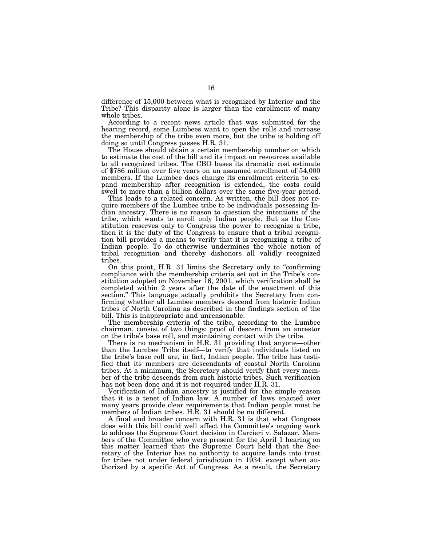difference of 15,000 between what is recognized by Interior and the Tribe? This disparity alone is larger than the enrollment of many whole tribes.

According to a recent news article that was submitted for the hearing record, some Lumbees want to open the rolls and increase the membership of the tribe even more, but the tribe is holding off doing so until Congress passes H.R. 31.

The House should obtain a certain membership number on which to estimate the cost of the bill and its impact on resources available to all recognized tribes. The CBO bases its dramatic cost estimate of \$786 million over five years on an assumed enrollment of 54,000 members. If the Lumbee does change its enrollment criteria to expand membership after recognition is extended, the costs could swell to more than a billion dollars over the same five-year period.

This leads to a related concern. As written, the bill does not require members of the Lumbee tribe to be individuals possessing Indian ancestry. There is no reason to question the intentions of the tribe, which wants to enroll only Indian people. But as the Constitution reserves only to Congress the power to recognize a tribe, then it is the duty of the Congress to ensure that a tribal recognition bill provides a means to verify that it is recognizing a tribe of Indian people. To do otherwise undermines the whole notion of tribal recognition and thereby dishonors all validly recognized tribes.

On this point, H.R. 31 limits the Secretary only to ''confirming compliance with the membership criteria set out in the Tribe's constitution adopted on November 16, 2001, which verification shall be completed within 2 years after the date of the enactment of this section.'' This language actually prohibits the Secretary from confirming whether all Lumbee members descend from historic Indian tribes of North Carolina as described in the findings section of the bill. This is inappropriate and unreasonable.

The membership criteria of the tribe, according to the Lumbee chairman, consist of two things: proof of descent from an ancestor on the tribe's base roll, and maintaining contact with the tribe.

There is no mechanism in H.R. 31 providing that anyone—other than the Lumbee Tribe itself—to verify that individuals listed on the tribe's base roll are, in fact, Indian people. The tribe has testified that its members are descendants of coastal North Carolina tribes. At a minimum, the Secretary should verify that every member of the tribe descends from such historic tribes. Such verification has not been done and it is not required under H.R. 31.

Verification of Indian ancestry is justified for the simple reason that it is a tenet of Indian law. A number of laws enacted over many years provide clear requirements that Indian people must be members of Indian tribes. H.R. 31 should be no different.

A final and broader concern with H.R. 31 is that what Congress does with this bill could well affect the Committee's ongoing work to address the Supreme Court decision in Carcieri v. Salazar. Members of the Committee who were present for the April 1 hearing on this matter learned that the Supreme Court held that the Secretary of the Interior has no authority to acquire lands into trust for tribes not under federal jurisdiction in 1934, except when authorized by a specific Act of Congress. As a result, the Secretary